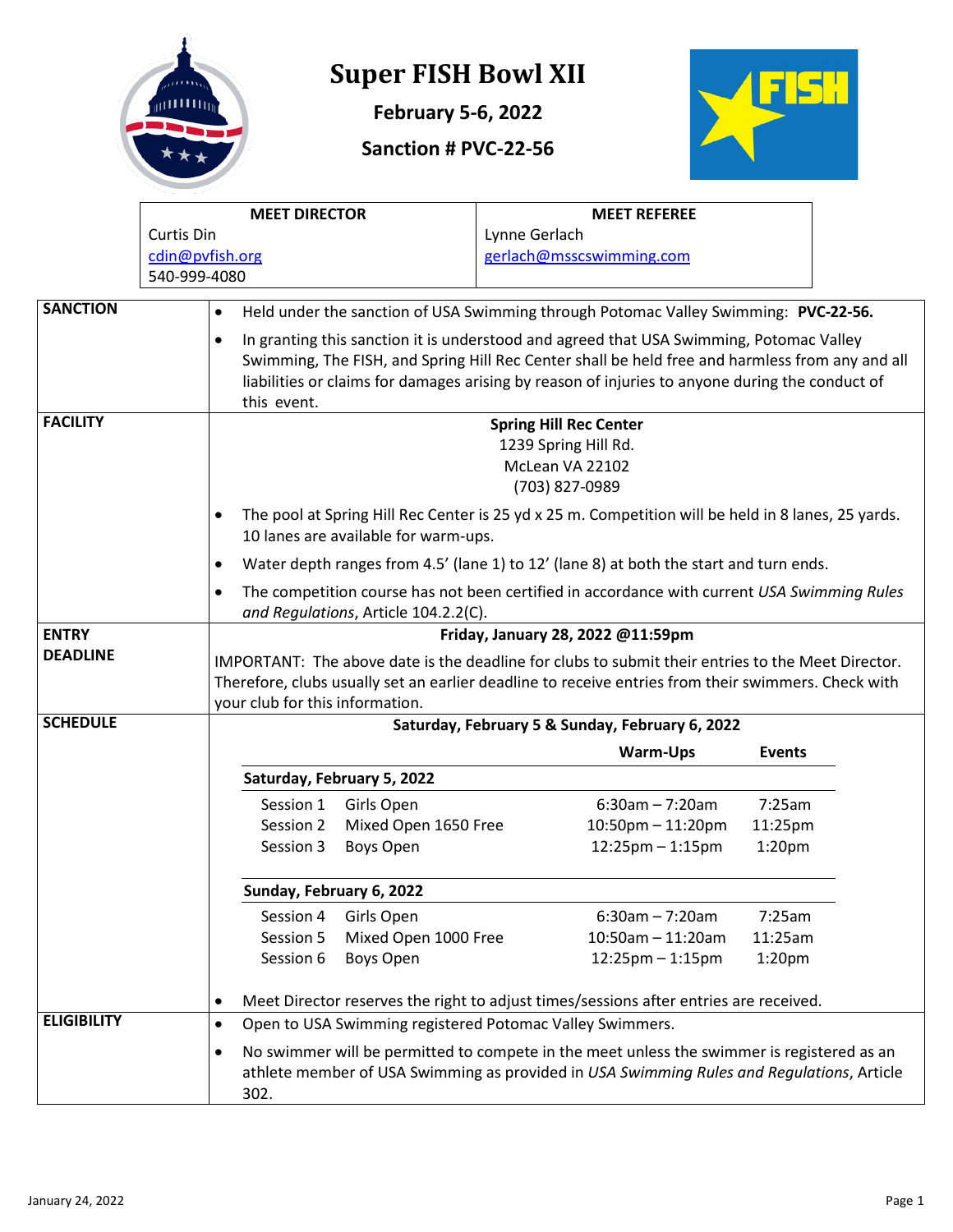

# **Super FISH Bowl XII**

**February 5-6, 2022**

#### **Sanction # PVC-22-56**



|                    |                 |                                                                                                                                                                                                                                             | <b>MEET DIRECTOR</b>                                                                                                                |                                                          |                                   | <b>MEET REFEREE</b>                                                                                                                                                                     |                    |  |  |
|--------------------|-----------------|---------------------------------------------------------------------------------------------------------------------------------------------------------------------------------------------------------------------------------------------|-------------------------------------------------------------------------------------------------------------------------------------|----------------------------------------------------------|-----------------------------------|-----------------------------------------------------------------------------------------------------------------------------------------------------------------------------------------|--------------------|--|--|
|                    | Curtis Din      |                                                                                                                                                                                                                                             |                                                                                                                                     |                                                          | Lynne Gerlach                     |                                                                                                                                                                                         |                    |  |  |
|                    | cdin@pvfish.org |                                                                                                                                                                                                                                             |                                                                                                                                     |                                                          | gerlach@msscswimming.com          |                                                                                                                                                                                         |                    |  |  |
|                    | 540-999-4080    |                                                                                                                                                                                                                                             |                                                                                                                                     |                                                          |                                   |                                                                                                                                                                                         |                    |  |  |
| <b>SANCTION</b>    |                 | ٠                                                                                                                                                                                                                                           |                                                                                                                                     |                                                          |                                   | Held under the sanction of USA Swimming through Potomac Valley Swimming: PVC-22-56.                                                                                                     |                    |  |  |
|                    |                 | ٠                                                                                                                                                                                                                                           | In granting this sanction it is understood and agreed that USA Swimming, Potomac Valley                                             |                                                          |                                   |                                                                                                                                                                                         |                    |  |  |
|                    |                 | Swimming, The FISH, and Spring Hill Rec Center shall be held free and harmless from any and all<br>liabilities or claims for damages arising by reason of injuries to anyone during the conduct of<br>this event.                           |                                                                                                                                     |                                                          |                                   |                                                                                                                                                                                         |                    |  |  |
| <b>FACILITY</b>    |                 | <b>Spring Hill Rec Center</b><br>1239 Spring Hill Rd.<br>McLean VA 22102<br>(703) 827-0989                                                                                                                                                  |                                                                                                                                     |                                                          |                                   |                                                                                                                                                                                         |                    |  |  |
|                    |                 | The pool at Spring Hill Rec Center is 25 yd x 25 m. Competition will be held in 8 lanes, 25 yards.<br>10 lanes are available for warm-ups.                                                                                                  |                                                                                                                                     |                                                          |                                   |                                                                                                                                                                                         |                    |  |  |
|                    |                 |                                                                                                                                                                                                                                             |                                                                                                                                     |                                                          |                                   | Water depth ranges from 4.5' (lane 1) to 12' (lane 8) at both the start and turn ends.                                                                                                  |                    |  |  |
|                    |                 | ٠                                                                                                                                                                                                                                           | The competition course has not been certified in accordance with current USA Swimming Rules<br>and Regulations, Article 104.2.2(C). |                                                          |                                   |                                                                                                                                                                                         |                    |  |  |
| <b>ENTRY</b>       |                 |                                                                                                                                                                                                                                             |                                                                                                                                     |                                                          | Friday, January 28, 2022 @11:59pm |                                                                                                                                                                                         |                    |  |  |
| <b>DEADLINE</b>    |                 | IMPORTANT: The above date is the deadline for clubs to submit their entries to the Meet Director.<br>Therefore, clubs usually set an earlier deadline to receive entries from their swimmers. Check with<br>your club for this information. |                                                                                                                                     |                                                          |                                   |                                                                                                                                                                                         |                    |  |  |
| <b>SCHEDULE</b>    |                 |                                                                                                                                                                                                                                             |                                                                                                                                     |                                                          |                                   | Saturday, February 5 & Sunday, February 6, 2022                                                                                                                                         |                    |  |  |
|                    |                 |                                                                                                                                                                                                                                             |                                                                                                                                     |                                                          |                                   | <b>Warm-Ups</b>                                                                                                                                                                         | <b>Events</b>      |  |  |
|                    |                 |                                                                                                                                                                                                                                             |                                                                                                                                     | Saturday, February 5, 2022                               |                                   |                                                                                                                                                                                         |                    |  |  |
|                    |                 |                                                                                                                                                                                                                                             | Session 1                                                                                                                           | Girls Open                                               |                                   | $6:30am - 7:20am$                                                                                                                                                                       | 7:25am             |  |  |
|                    |                 |                                                                                                                                                                                                                                             | Session 2                                                                                                                           | Mixed Open 1650 Free                                     |                                   | $10:50$ pm $- 11:20$ pm                                                                                                                                                                 | 11:25pm            |  |  |
|                    |                 |                                                                                                                                                                                                                                             | Session 3                                                                                                                           | Boys Open                                                |                                   | $12:25$ pm $-1:15$ pm                                                                                                                                                                   | 1:20 <sub>pm</sub> |  |  |
|                    |                 |                                                                                                                                                                                                                                             | Sunday, February 6, 2022                                                                                                            |                                                          |                                   |                                                                                                                                                                                         |                    |  |  |
|                    |                 |                                                                                                                                                                                                                                             | Session 4                                                                                                                           | Girls Open                                               |                                   | $6:30am - 7:20am$                                                                                                                                                                       | 7:25am             |  |  |
|                    |                 |                                                                                                                                                                                                                                             | Session 5                                                                                                                           | Mixed Open 1000 Free                                     |                                   | $10:50$ am - 11:20am                                                                                                                                                                    | 11:25am            |  |  |
|                    |                 |                                                                                                                                                                                                                                             | Session 6                                                                                                                           | Boys Open                                                |                                   | $12:25$ pm $-1:15$ pm                                                                                                                                                                   | 1:20 <sub>pm</sub> |  |  |
|                    |                 |                                                                                                                                                                                                                                             |                                                                                                                                     |                                                          |                                   | Meet Director reserves the right to adjust times/sessions after entries are received.                                                                                                   |                    |  |  |
| <b>ELIGIBILITY</b> |                 | $\bullet$                                                                                                                                                                                                                                   |                                                                                                                                     | Open to USA Swimming registered Potomac Valley Swimmers. |                                   |                                                                                                                                                                                         |                    |  |  |
|                    |                 | ٠                                                                                                                                                                                                                                           | 302.                                                                                                                                |                                                          |                                   | No swimmer will be permitted to compete in the meet unless the swimmer is registered as an<br>athlete member of USA Swimming as provided in USA Swimming Rules and Regulations, Article |                    |  |  |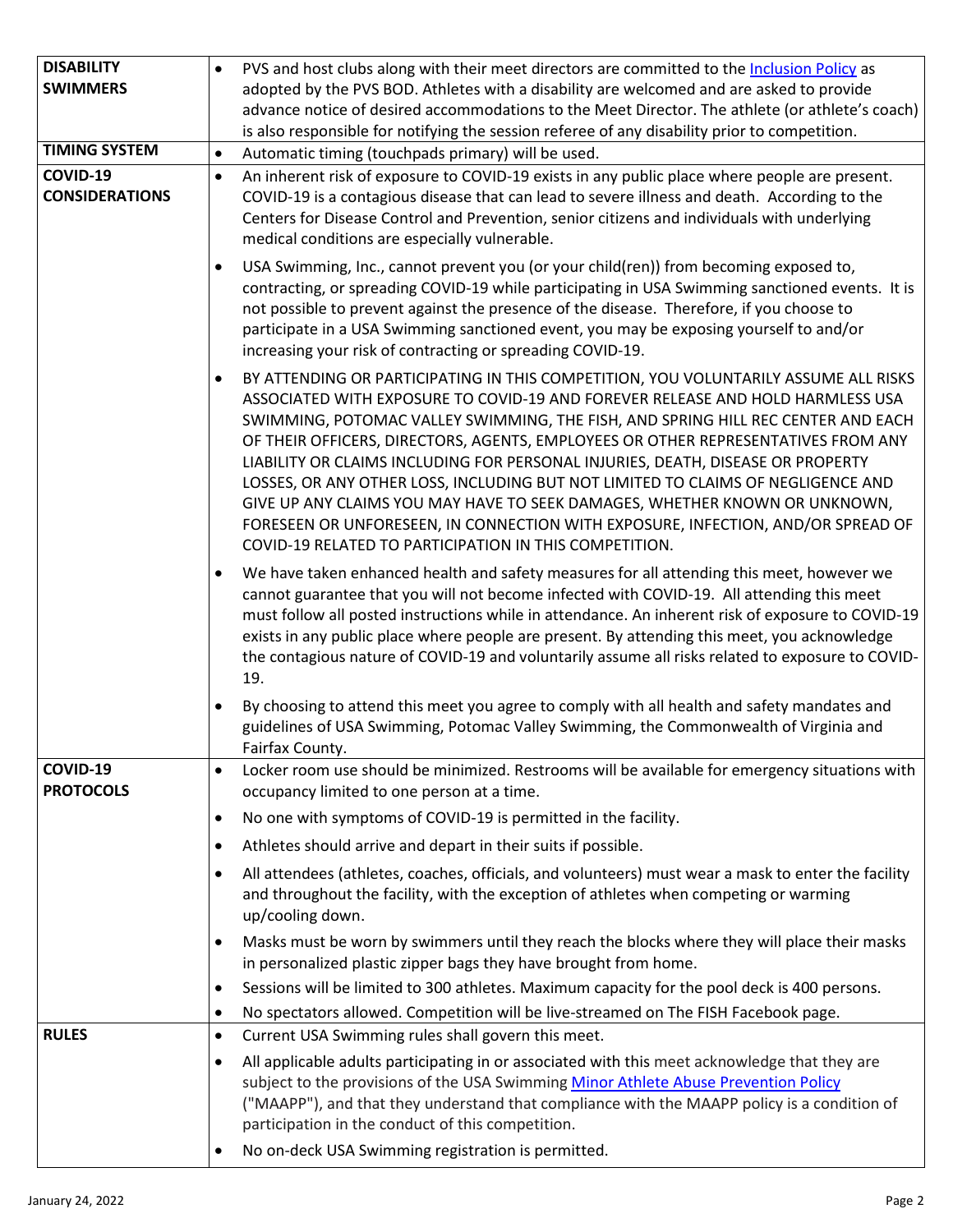| <b>DISABILITY</b><br><b>SWIMMERS</b> | PVS and host clubs along with their meet directors are committed to the Inclusion Policy as<br>$\bullet$<br>adopted by the PVS BOD. Athletes with a disability are welcomed and are asked to provide                                                                                                                                                                                                                                                                                                                                                                                                                                                                                                                                                           |
|--------------------------------------|----------------------------------------------------------------------------------------------------------------------------------------------------------------------------------------------------------------------------------------------------------------------------------------------------------------------------------------------------------------------------------------------------------------------------------------------------------------------------------------------------------------------------------------------------------------------------------------------------------------------------------------------------------------------------------------------------------------------------------------------------------------|
|                                      | advance notice of desired accommodations to the Meet Director. The athlete (or athlete's coach)<br>is also responsible for notifying the session referee of any disability prior to competition.                                                                                                                                                                                                                                                                                                                                                                                                                                                                                                                                                               |
| <b>TIMING SYSTEM</b>                 | Automatic timing (touchpads primary) will be used.<br>$\bullet$                                                                                                                                                                                                                                                                                                                                                                                                                                                                                                                                                                                                                                                                                                |
| COVID-19<br><b>CONSIDERATIONS</b>    | An inherent risk of exposure to COVID-19 exists in any public place where people are present.<br>$\bullet$<br>COVID-19 is a contagious disease that can lead to severe illness and death. According to the<br>Centers for Disease Control and Prevention, senior citizens and individuals with underlying<br>medical conditions are especially vulnerable.                                                                                                                                                                                                                                                                                                                                                                                                     |
|                                      | USA Swimming, Inc., cannot prevent you (or your child(ren)) from becoming exposed to,<br>٠<br>contracting, or spreading COVID-19 while participating in USA Swimming sanctioned events. It is<br>not possible to prevent against the presence of the disease. Therefore, if you choose to<br>participate in a USA Swimming sanctioned event, you may be exposing yourself to and/or<br>increasing your risk of contracting or spreading COVID-19.                                                                                                                                                                                                                                                                                                              |
|                                      | BY ATTENDING OR PARTICIPATING IN THIS COMPETITION, YOU VOLUNTARILY ASSUME ALL RISKS<br>$\bullet$<br>ASSOCIATED WITH EXPOSURE TO COVID-19 AND FOREVER RELEASE AND HOLD HARMLESS USA<br>SWIMMING, POTOMAC VALLEY SWIMMING, THE FISH, AND SPRING HILL REC CENTER AND EACH<br>OF THEIR OFFICERS, DIRECTORS, AGENTS, EMPLOYEES OR OTHER REPRESENTATIVES FROM ANY<br>LIABILITY OR CLAIMS INCLUDING FOR PERSONAL INJURIES, DEATH, DISEASE OR PROPERTY<br>LOSSES, OR ANY OTHER LOSS, INCLUDING BUT NOT LIMITED TO CLAIMS OF NEGLIGENCE AND<br>GIVE UP ANY CLAIMS YOU MAY HAVE TO SEEK DAMAGES, WHETHER KNOWN OR UNKNOWN,<br>FORESEEN OR UNFORESEEN, IN CONNECTION WITH EXPOSURE, INFECTION, AND/OR SPREAD OF<br>COVID-19 RELATED TO PARTICIPATION IN THIS COMPETITION. |
|                                      | We have taken enhanced health and safety measures for all attending this meet, however we<br>$\bullet$<br>cannot guarantee that you will not become infected with COVID-19. All attending this meet<br>must follow all posted instructions while in attendance. An inherent risk of exposure to COVID-19<br>exists in any public place where people are present. By attending this meet, you acknowledge<br>the contagious nature of COVID-19 and voluntarily assume all risks related to exposure to COVID-<br>19.                                                                                                                                                                                                                                            |
|                                      | By choosing to attend this meet you agree to comply with all health and safety mandates and<br>$\bullet$<br>guidelines of USA Swimming, Potomac Valley Swimming, the Commonwealth of Virginia and<br>Fairfax County.                                                                                                                                                                                                                                                                                                                                                                                                                                                                                                                                           |
| COVID-19                             | Locker room use should be minimized. Restrooms will be available for emergency situations with<br>$\bullet$                                                                                                                                                                                                                                                                                                                                                                                                                                                                                                                                                                                                                                                    |
| <b>PROTOCOLS</b>                     | occupancy limited to one person at a time.                                                                                                                                                                                                                                                                                                                                                                                                                                                                                                                                                                                                                                                                                                                     |
|                                      | No one with symptoms of COVID-19 is permitted in the facility.<br>٠                                                                                                                                                                                                                                                                                                                                                                                                                                                                                                                                                                                                                                                                                            |
|                                      | Athletes should arrive and depart in their suits if possible.<br>$\bullet$                                                                                                                                                                                                                                                                                                                                                                                                                                                                                                                                                                                                                                                                                     |
|                                      | All attendees (athletes, coaches, officials, and volunteers) must wear a mask to enter the facility<br>$\bullet$<br>and throughout the facility, with the exception of athletes when competing or warming<br>up/cooling down.                                                                                                                                                                                                                                                                                                                                                                                                                                                                                                                                  |
|                                      | Masks must be worn by swimmers until they reach the blocks where they will place their masks<br>$\bullet$<br>in personalized plastic zipper bags they have brought from home.                                                                                                                                                                                                                                                                                                                                                                                                                                                                                                                                                                                  |
|                                      | Sessions will be limited to 300 athletes. Maximum capacity for the pool deck is 400 persons.<br>٠                                                                                                                                                                                                                                                                                                                                                                                                                                                                                                                                                                                                                                                              |
|                                      | No spectators allowed. Competition will be live-streamed on The FISH Facebook page.<br>$\bullet$                                                                                                                                                                                                                                                                                                                                                                                                                                                                                                                                                                                                                                                               |
| <b>RULES</b>                         | Current USA Swimming rules shall govern this meet.<br>$\bullet$                                                                                                                                                                                                                                                                                                                                                                                                                                                                                                                                                                                                                                                                                                |
|                                      | All applicable adults participating in or associated with this meet acknowledge that they are<br>$\bullet$                                                                                                                                                                                                                                                                                                                                                                                                                                                                                                                                                                                                                                                     |
|                                      | subject to the provisions of the USA Swimming Minor Athlete Abuse Prevention Policy<br>("MAAPP"), and that they understand that compliance with the MAAPP policy is a condition of<br>participation in the conduct of this competition.                                                                                                                                                                                                                                                                                                                                                                                                                                                                                                                        |
|                                      | No on-deck USA Swimming registration is permitted.<br>$\bullet$                                                                                                                                                                                                                                                                                                                                                                                                                                                                                                                                                                                                                                                                                                |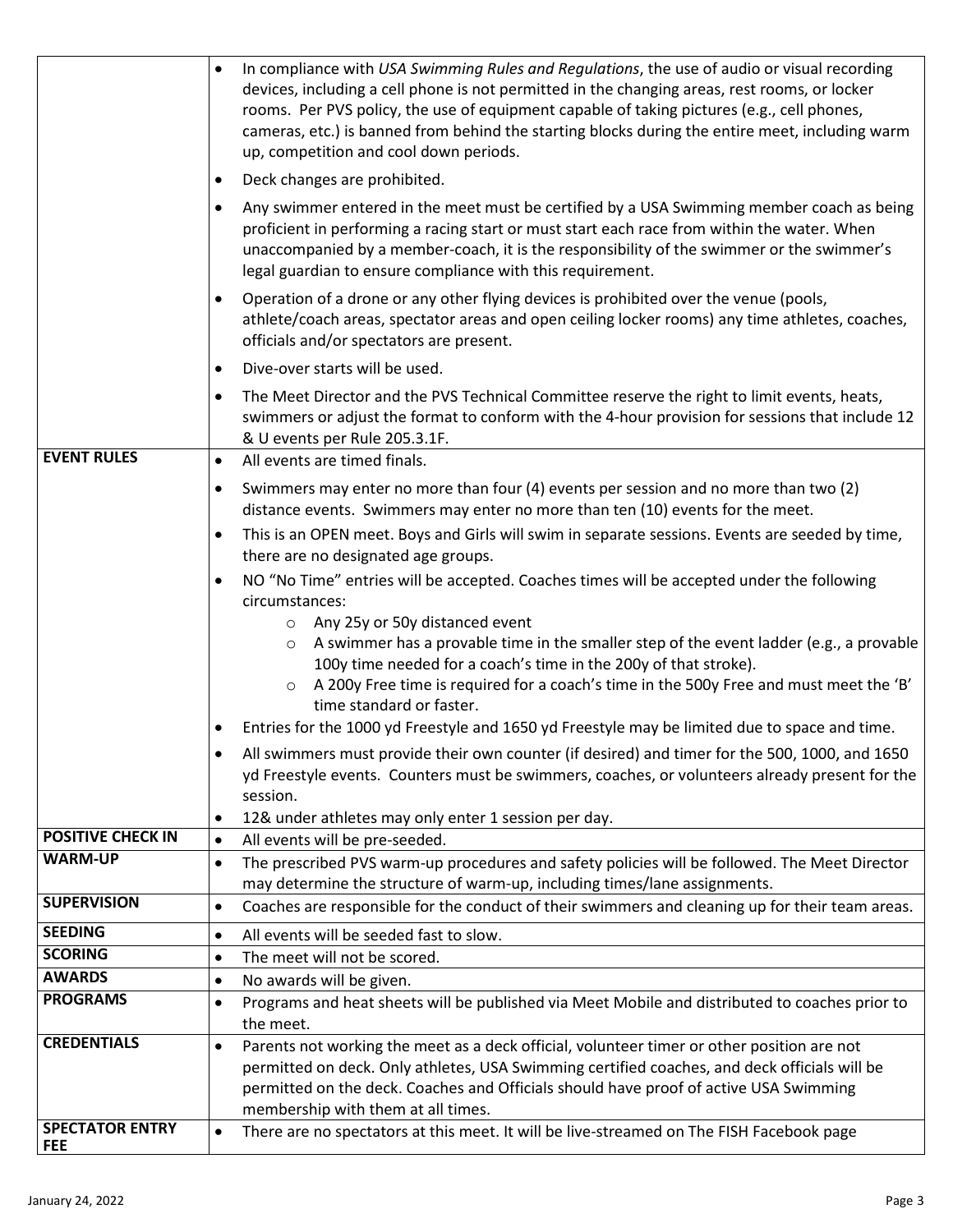|                                            | In compliance with USA Swimming Rules and Regulations, the use of audio or visual recording<br>$\bullet$<br>devices, including a cell phone is not permitted in the changing areas, rest rooms, or locker<br>rooms. Per PVS policy, the use of equipment capable of taking pictures (e.g., cell phones,<br>cameras, etc.) is banned from behind the starting blocks during the entire meet, including warm<br>up, competition and cool down periods. |
|--------------------------------------------|------------------------------------------------------------------------------------------------------------------------------------------------------------------------------------------------------------------------------------------------------------------------------------------------------------------------------------------------------------------------------------------------------------------------------------------------------|
|                                            | Deck changes are prohibited.<br>$\bullet$                                                                                                                                                                                                                                                                                                                                                                                                            |
|                                            | Any swimmer entered in the meet must be certified by a USA Swimming member coach as being<br>$\bullet$<br>proficient in performing a racing start or must start each race from within the water. When<br>unaccompanied by a member-coach, it is the responsibility of the swimmer or the swimmer's<br>legal guardian to ensure compliance with this requirement.                                                                                     |
|                                            | Operation of a drone or any other flying devices is prohibited over the venue (pools,<br>$\bullet$<br>athlete/coach areas, spectator areas and open ceiling locker rooms) any time athletes, coaches,<br>officials and/or spectators are present.                                                                                                                                                                                                    |
|                                            | Dive-over starts will be used.<br>$\bullet$                                                                                                                                                                                                                                                                                                                                                                                                          |
|                                            | The Meet Director and the PVS Technical Committee reserve the right to limit events, heats,<br>$\bullet$<br>swimmers or adjust the format to conform with the 4-hour provision for sessions that include 12<br>& U events per Rule 205.3.1F.                                                                                                                                                                                                         |
| <b>EVENT RULES</b>                         | All events are timed finals.<br>$\bullet$                                                                                                                                                                                                                                                                                                                                                                                                            |
|                                            | Swimmers may enter no more than four (4) events per session and no more than two (2)<br>$\bullet$<br>distance events. Swimmers may enter no more than ten (10) events for the meet.                                                                                                                                                                                                                                                                  |
|                                            | This is an OPEN meet. Boys and Girls will swim in separate sessions. Events are seeded by time,<br>$\bullet$<br>there are no designated age groups.                                                                                                                                                                                                                                                                                                  |
|                                            | NO "No Time" entries will be accepted. Coaches times will be accepted under the following<br>$\bullet$<br>circumstances:                                                                                                                                                                                                                                                                                                                             |
|                                            | $\circ$ Any 25y or 50y distanced event<br>A swimmer has a provable time in the smaller step of the event ladder (e.g., a provable<br>$\circ$<br>100y time needed for a coach's time in the 200y of that stroke).<br>A 200y Free time is required for a coach's time in the 500y Free and must meet the 'B'<br>$\circ$<br>time standard or faster.                                                                                                    |
|                                            | Entries for the 1000 yd Freestyle and 1650 yd Freestyle may be limited due to space and time.<br>٠                                                                                                                                                                                                                                                                                                                                                   |
|                                            | All swimmers must provide their own counter (if desired) and timer for the 500, 1000, and 1650<br>yd Freestyle events. Counters must be swimmers, coaches, or volunteers already present for the<br>session.                                                                                                                                                                                                                                         |
|                                            | 12& under athletes may only enter 1 session per day.<br>$\bullet$                                                                                                                                                                                                                                                                                                                                                                                    |
| <b>POSITIVE CHECK IN</b><br><b>WARM-UP</b> | All events will be pre-seeded.<br>$\bullet$                                                                                                                                                                                                                                                                                                                                                                                                          |
|                                            | The prescribed PVS warm-up procedures and safety policies will be followed. The Meet Director<br>$\bullet$<br>may determine the structure of warm-up, including times/lane assignments.                                                                                                                                                                                                                                                              |
| <b>SUPERVISION</b>                         | Coaches are responsible for the conduct of their swimmers and cleaning up for their team areas.<br>$\bullet$                                                                                                                                                                                                                                                                                                                                         |
| <b>SEEDING</b>                             | All events will be seeded fast to slow.<br>$\bullet$                                                                                                                                                                                                                                                                                                                                                                                                 |
| <b>SCORING</b>                             | The meet will not be scored.<br>$\bullet$                                                                                                                                                                                                                                                                                                                                                                                                            |
| <b>AWARDS</b>                              | No awards will be given.<br>$\bullet$                                                                                                                                                                                                                                                                                                                                                                                                                |
| <b>PROGRAMS</b>                            | Programs and heat sheets will be published via Meet Mobile and distributed to coaches prior to<br>$\bullet$<br>the meet.                                                                                                                                                                                                                                                                                                                             |
| <b>CREDENTIALS</b>                         | Parents not working the meet as a deck official, volunteer timer or other position are not<br>$\bullet$<br>permitted on deck. Only athletes, USA Swimming certified coaches, and deck officials will be<br>permitted on the deck. Coaches and Officials should have proof of active USA Swimming<br>membership with them at all times.                                                                                                               |
| <b>SPECTATOR ENTRY</b><br><b>FEE</b>       | There are no spectators at this meet. It will be live-streamed on The FISH Facebook page<br>$\bullet$                                                                                                                                                                                                                                                                                                                                                |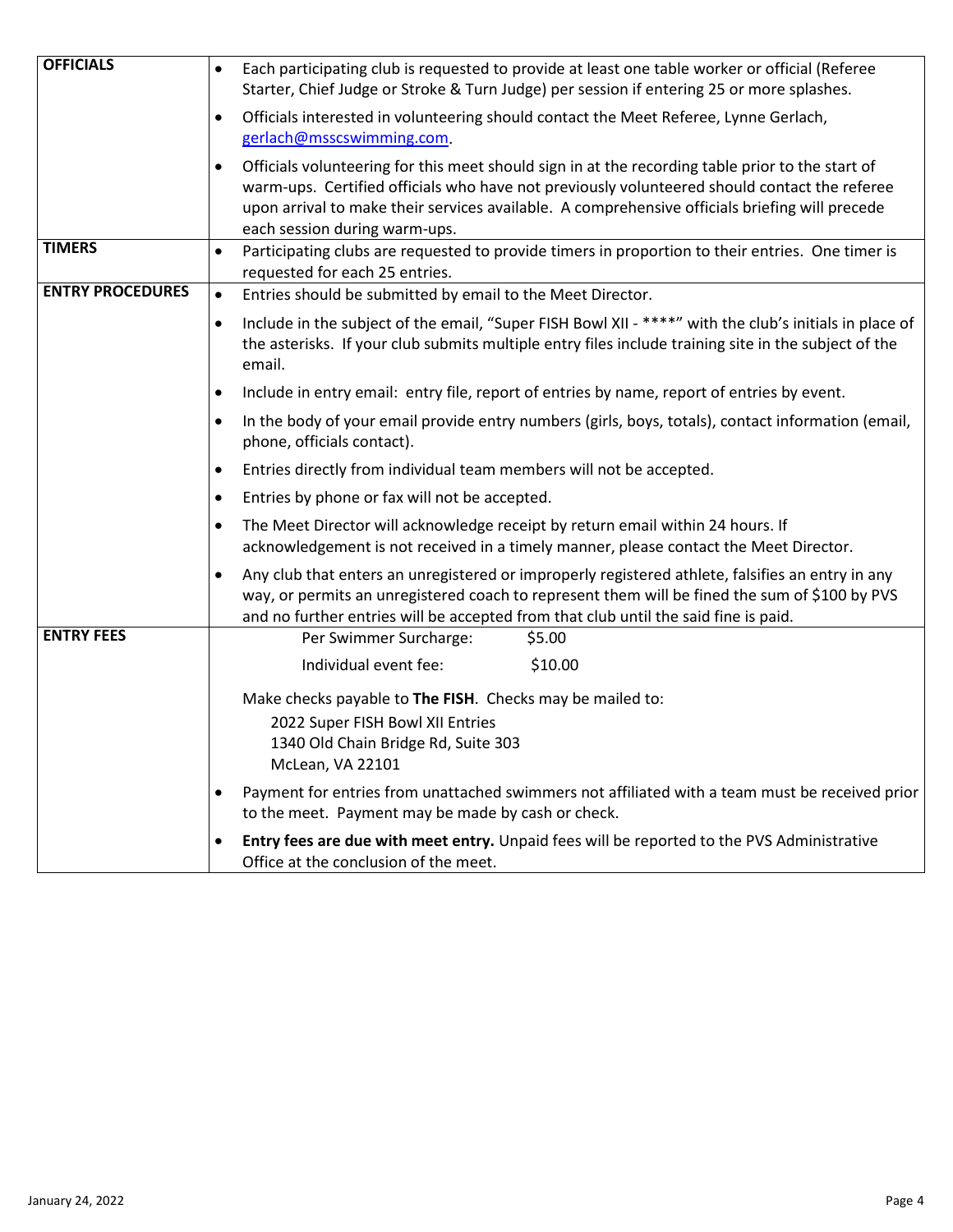| <b>OFFICIALS</b>        | Each participating club is requested to provide at least one table worker or official (Referee<br>$\bullet$<br>Starter, Chief Judge or Stroke & Turn Judge) per session if entering 25 or more splashes.                                                                                                                                         |
|-------------------------|--------------------------------------------------------------------------------------------------------------------------------------------------------------------------------------------------------------------------------------------------------------------------------------------------------------------------------------------------|
|                         | Officials interested in volunteering should contact the Meet Referee, Lynne Gerlach,<br>$\bullet$<br>gerlach@msscswimming.com.                                                                                                                                                                                                                   |
|                         | Officials volunteering for this meet should sign in at the recording table prior to the start of<br>$\bullet$<br>warm-ups. Certified officials who have not previously volunteered should contact the referee<br>upon arrival to make their services available. A comprehensive officials briefing will precede<br>each session during warm-ups. |
| <b>TIMERS</b>           | Participating clubs are requested to provide timers in proportion to their entries. One timer is<br>$\bullet$<br>requested for each 25 entries.                                                                                                                                                                                                  |
| <b>ENTRY PROCEDURES</b> | Entries should be submitted by email to the Meet Director.<br>$\bullet$                                                                                                                                                                                                                                                                          |
|                         | Include in the subject of the email, "Super FISH Bowl XII - ****" with the club's initials in place of<br>$\bullet$<br>the asterisks. If your club submits multiple entry files include training site in the subject of the<br>email.                                                                                                            |
|                         | Include in entry email: entry file, report of entries by name, report of entries by event.<br>$\bullet$                                                                                                                                                                                                                                          |
|                         | In the body of your email provide entry numbers (girls, boys, totals), contact information (email,<br>$\bullet$<br>phone, officials contact).                                                                                                                                                                                                    |
|                         | Entries directly from individual team members will not be accepted.<br>$\bullet$                                                                                                                                                                                                                                                                 |
|                         | Entries by phone or fax will not be accepted.<br>$\bullet$                                                                                                                                                                                                                                                                                       |
|                         | The Meet Director will acknowledge receipt by return email within 24 hours. If<br>$\bullet$<br>acknowledgement is not received in a timely manner, please contact the Meet Director.                                                                                                                                                             |
|                         | Any club that enters an unregistered or improperly registered athlete, falsifies an entry in any<br>$\bullet$<br>way, or permits an unregistered coach to represent them will be fined the sum of \$100 by PVS<br>and no further entries will be accepted from that club until the said fine is paid.                                            |
| <b>ENTRY FEES</b>       | Per Swimmer Surcharge:<br>\$5.00                                                                                                                                                                                                                                                                                                                 |
|                         | \$10.00<br>Individual event fee:                                                                                                                                                                                                                                                                                                                 |
|                         | Make checks payable to The FISH. Checks may be mailed to:<br>2022 Super FISH Bowl XII Entries<br>1340 Old Chain Bridge Rd, Suite 303<br>McLean, VA 22101                                                                                                                                                                                         |
|                         | Payment for entries from unattached swimmers not affiliated with a team must be received prior<br>$\bullet$<br>to the meet. Payment may be made by cash or check.                                                                                                                                                                                |
|                         | Entry fees are due with meet entry. Unpaid fees will be reported to the PVS Administrative<br>$\bullet$<br>Office at the conclusion of the meet.                                                                                                                                                                                                 |